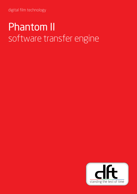digital film technology

### Phantom II software transfer engine

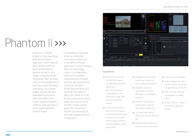## Phantom II >>>

Phantom II - transfer engine is a new proprietary, dedicated software application, which captures data transfers from the Spirit 2K/4K family of datacine products; via a modern computer system, facilitating a fast, yet easy capture and management of data files via the Infiniband interfacing. This transfer engine solution has been developed to provide an alternative path to the current system limitations of Bones; offering a future proof supportable data transfer engine.

- Real-time 2K and fast 4K DPX data capture via dedicated infiniband interfacing. Note: Record speed is dependent on the connected storage SAN network bandwidth
- Full machine control of Spirit 2K & 4K systems, including all general Spirit functions and transport control using a software emulated graphic control panel (GCP)

It is available for purchase either as a dedicated (turn-key) solution or as a standalone software application for some existing Bones PC technology, subject to configuration. Phantom II expedites, using dedicated software features, the usual machine controls of the Spirit 2K/4K datacine family and facilitates the ingest of data scans, either 2K or 4K, further enhanced. By having some core features of the FLEXXITY family product group, this new product solution requires a special real-time capable hardware configuration.



- $\bullet$  Integrated tool set (WFM, vectorscope, detail tool (pixel picker) & histogram)
- Playback viewer for verification of scanned DPX data & audio BWAV materials
- Real time simultaneous Audio ingest, using the Spirit audio outputs only
- List based data capture list)
- Controlled data captures or manual crash record modes
- Full ALE export capability
- Data management such as transfer from/to connected storage devices via F/C I/O
- DPX GUI tab allowing manipulation of header fields
- $\bullet$  SUSE SLES11 + latest service pack operating system
- 
- 
- 
- 
- 
- (EDLs, key-code or XML pull

#### Key features **:**

solution.

### standing the test of time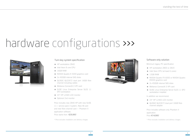# hardware configurations >>>



### Turn-key system specification

- HP workstation Z840
- Intel Xeon 8 core CPU
- $-16GB$  RAM
- NVIDIA Quadro K 5000 graphics card
- 2x 450GB internal SAS disks
- QLOGIC QLE2672 dual port 16GB fibre channel including cables
- Mellanox ConnectX-3 VPI card
- SUSE Linux Enterprise Server SLES 11 SP3 workstation
- 24" HP L2465 LCD monitor
- Optional 2nd monitor

Price includes new Z840 HP with new SUSE 11+ service pack 3 system, New IB card and new fibre channel card  $+$  Phantom II application software. Price starts from €29,995\*

*\* Price excludes installation and delivery charges.* 



- HP workstation Z800 or Z820
- Intel Xeon CPU (at least 6 cores)
- $-12$ GB RAM
- NVIDIA Quadro FX 6000 or NVIDIA Quadro K5000 graphics card
- 2x 450GB internal SAS disks
- Mellanox ConnectX-3 VPI card
- SUSE Linux Enterprise Server SLES 11 SP2 workstation installed

- 24" HP L2465 LCD monitor
- QLOGIC QLE2672 dual port 16GB fibre channel adapter

### Software only solution

*\* Price excludes installation and delivery charges.* 

Price includes software only Phantom II application

Price €14,995\*

Minimum legacy PC specification

In addition we recommend: